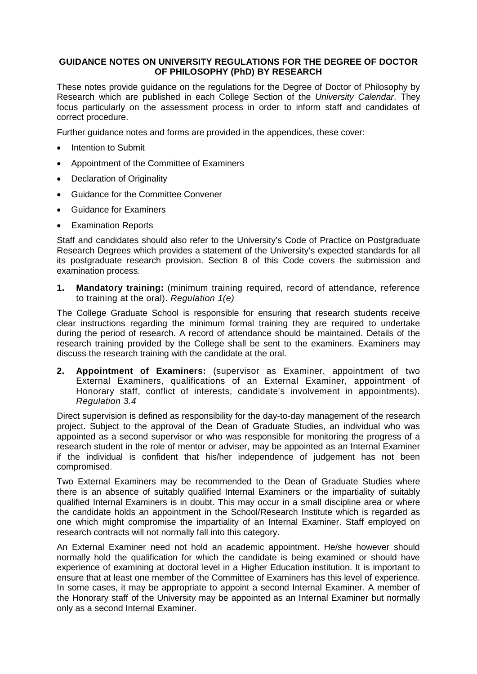# **GUIDANCE NOTES ON UNIVERSITY REGULATIONS FOR THE DEGREE OF DOCTOR OF PHILOSOPHY (PhD) BY RESEARCH**

These notes provide guidance on the regulations for the Degree of Doctor of Philosophy by Research which are published in each College Section of the *University Calendar*. They focus particularly on the assessment process in order to inform staff and candidates of correct procedure.

Further guidance notes and forms are provided in the appendices, these cover:

- Intention to Submit
- Appointment of the Committee of Examiners
- Declaration of Originality
- Guidance for the Committee Convener
- Guidance for Examiners
- **Examination Reports**

Staff and candidates should also refer to the University's Code of Practice on Postgraduate Research Degrees which provides a statement of the University's expected standards for all its postgraduate research provision. Section 8 of this Code covers the submission and examination process.

**1. Mandatory training:** (minimum training required, record of attendance, reference to training at the oral). *Regulation 1(e)*

The College Graduate School is responsible for ensuring that research students receive clear instructions regarding the minimum formal training they are required to undertake during the period of research. A record of attendance should be maintained. Details of the research training provided by the College shall be sent to the examiners. Examiners may discuss the research training with the candidate at the oral.

**2. Appointment of Examiners:** (supervisor as Examiner, appointment of two External Examiners, qualifications of an External Examiner, appointment of Honorary staff, conflict of interests, candidate's involvement in appointments). *Regulation 3.4*

Direct supervision is defined as responsibility for the day-to-day management of the research project. Subject to the approval of the Dean of Graduate Studies, an individual who was appointed as a second supervisor or who was responsible for monitoring the progress of a research student in the role of mentor or adviser, may be appointed as an Internal Examiner if the individual is confident that his/her independence of judgement has not been compromised.

Two External Examiners may be recommended to the Dean of Graduate Studies where there is an absence of suitably qualified Internal Examiners or the impartiality of suitably qualified Internal Examiners is in doubt. This may occur in a small discipline area or where the candidate holds an appointment in the School/Research Institute which is regarded as one which might compromise the impartiality of an Internal Examiner. Staff employed on research contracts will not normally fall into this category.

An External Examiner need not hold an academic appointment. He/she however should normally hold the qualification for which the candidate is being examined or should have experience of examining at doctoral level in a Higher Education institution. It is important to ensure that at least one member of the Committee of Examiners has this level of experience. In some cases, it may be appropriate to appoint a second Internal Examiner. A member of the Honorary staff of the University may be appointed as an Internal Examiner but normally only as a second Internal Examiner.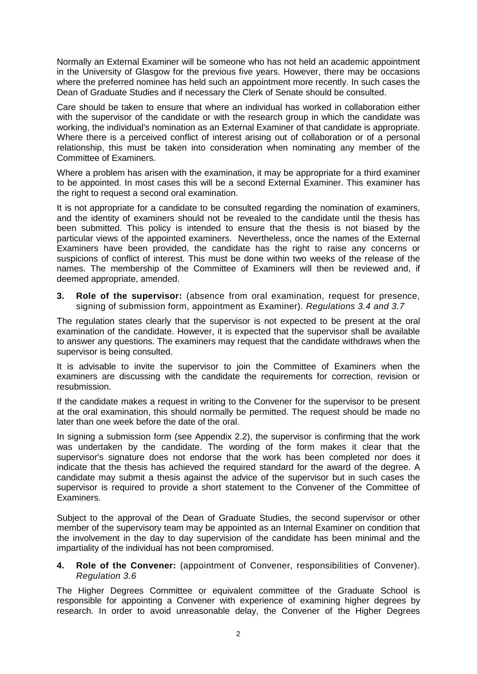Normally an External Examiner will be someone who has not held an academic appointment in the University of Glasgow for the previous five years. However, there may be occasions where the preferred nominee has held such an appointment more recently. In such cases the Dean of Graduate Studies and if necessary the Clerk of Senate should be consulted.

Care should be taken to ensure that where an individual has worked in collaboration either with the supervisor of the candidate or with the research group in which the candidate was working, the individual's nomination as an External Examiner of that candidate is appropriate. Where there is a perceived conflict of interest arising out of collaboration or of a personal relationship, this must be taken into consideration when nominating any member of the Committee of Examiners.

Where a problem has arisen with the examination, it may be appropriate for a third examiner to be appointed. In most cases this will be a second External Examiner. This examiner has the right to request a second oral examination.

It is not appropriate for a candidate to be consulted regarding the nomination of examiners, and the identity of examiners should not be revealed to the candidate until the thesis has been submitted. This policy is intended to ensure that the thesis is not biased by the particular views of the appointed examiners. Nevertheless, once the names of the External Examiners have been provided, the candidate has the right to raise any concerns or suspicions of conflict of interest. This must be done within two weeks of the release of the names. The membership of the Committee of Examiners will then be reviewed and, if deemed appropriate, amended.

**3. Role of the supervisor:** (absence from oral examination, request for presence, signing of submission form, appointment as Examiner). *Regulations 3.4 and 3.7*

The regulation states clearly that the supervisor is not expected to be present at the oral examination of the candidate. However, it is expected that the supervisor shall be available to answer any questions. The examiners may request that the candidate withdraws when the supervisor is being consulted.

It is advisable to invite the supervisor to join the Committee of Examiners when the examiners are discussing with the candidate the requirements for correction, revision or resubmission.

If the candidate makes a request in writing to the Convener for the supervisor to be present at the oral examination, this should normally be permitted. The request should be made no later than one week before the date of the oral.

In signing a submission form (see Appendix 2.2), the supervisor is confirming that the work was undertaken by the candidate. The wording of the form makes it clear that the supervisor's signature does not endorse that the work has been completed nor does it indicate that the thesis has achieved the required standard for the award of the degree. A candidate may submit a thesis against the advice of the supervisor but in such cases the supervisor is required to provide a short statement to the Convener of the Committee of Examiners.

Subject to the approval of the Dean of Graduate Studies, the second supervisor or other member of the supervisory team may be appointed as an Internal Examiner on condition that the involvement in the day to day supervision of the candidate has been minimal and the impartiality of the individual has not been compromised.

# **4. Role of the Convener:** (appointment of Convener, responsibilities of Convener). *Regulation 3.6*

The Higher Degrees Committee or equivalent committee of the Graduate School is responsible for appointing a Convener with experience of examining higher degrees by research. In order to avoid unreasonable delay, the Convener of the Higher Degrees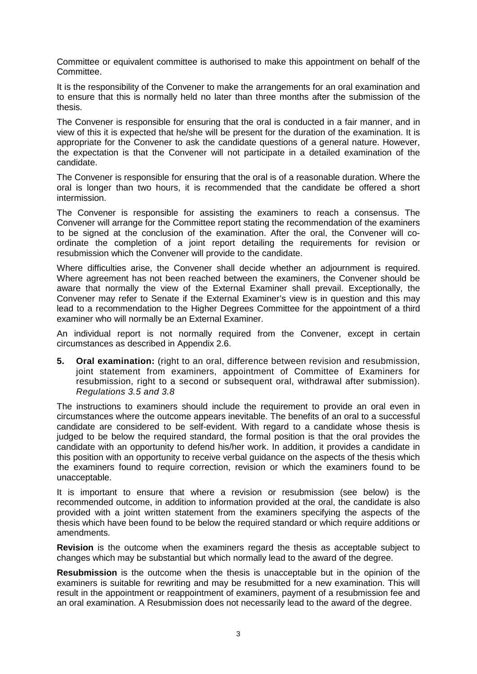Committee or equivalent committee is authorised to make this appointment on behalf of the Committee.

It is the responsibility of the Convener to make the arrangements for an oral examination and to ensure that this is normally held no later than three months after the submission of the thesis.

The Convener is responsible for ensuring that the oral is conducted in a fair manner, and in view of this it is expected that he/she will be present for the duration of the examination. It is appropriate for the Convener to ask the candidate questions of a general nature. However, the expectation is that the Convener will not participate in a detailed examination of the candidate.

The Convener is responsible for ensuring that the oral is of a reasonable duration. Where the oral is longer than two hours, it is recommended that the candidate be offered a short intermission.

The Convener is responsible for assisting the examiners to reach a consensus. The Convener will arrange for the Committee report stating the recommendation of the examiners to be signed at the conclusion of the examination. After the oral, the Convener will coordinate the completion of a joint report detailing the requirements for revision or resubmission which the Convener will provide to the candidate.

Where difficulties arise, the Convener shall decide whether an adjournment is required. Where agreement has not been reached between the examiners, the Convener should be aware that normally the view of the External Examiner shall prevail. Exceptionally, the Convener may refer to Senate if the External Examiner's view is in question and this may lead to a recommendation to the Higher Degrees Committee for the appointment of a third examiner who will normally be an External Examiner.

An individual report is not normally required from the Convener, except in certain circumstances as described in Appendix 2.6.

**5. Oral examination:** (right to an oral, difference between revision and resubmission, joint statement from examiners, appointment of Committee of Examiners for resubmission, right to a second or subsequent oral, withdrawal after submission). *Regulations 3.5 and 3.8*

The instructions to examiners should include the requirement to provide an oral even in circumstances where the outcome appears inevitable. The benefits of an oral to a successful candidate are considered to be self-evident. With regard to a candidate whose thesis is judged to be below the required standard, the formal position is that the oral provides the candidate with an opportunity to defend his/her work. In addition, it provides a candidate in this position with an opportunity to receive verbal guidance on the aspects of the thesis which the examiners found to require correction, revision or which the examiners found to be unacceptable.

It is important to ensure that where a revision or resubmission (see below) is the recommended outcome, in addition to information provided at the oral, the candidate is also provided with a joint written statement from the examiners specifying the aspects of the thesis which have been found to be below the required standard or which require additions or amendments.

**Revision** is the outcome when the examiners regard the thesis as acceptable subject to changes which may be substantial but which normally lead to the award of the degree.

**Resubmission** is the outcome when the thesis is unacceptable but in the opinion of the examiners is suitable for rewriting and may be resubmitted for a new examination. This will result in the appointment or reappointment of examiners, payment of a resubmission fee and an oral examination. A Resubmission does not necessarily lead to the award of the degree.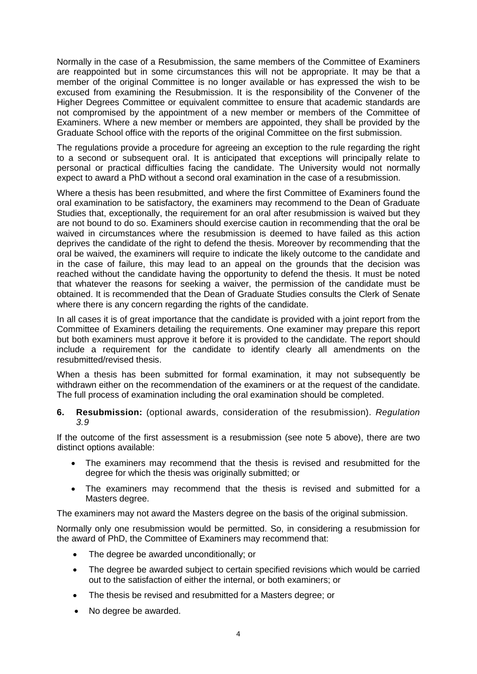Normally in the case of a Resubmission, the same members of the Committee of Examiners are reappointed but in some circumstances this will not be appropriate. It may be that a member of the original Committee is no longer available or has expressed the wish to be excused from examining the Resubmission. It is the responsibility of the Convener of the Higher Degrees Committee or equivalent committee to ensure that academic standards are not compromised by the appointment of a new member or members of the Committee of Examiners. Where a new member or members are appointed, they shall be provided by the Graduate School office with the reports of the original Committee on the first submission.

The regulations provide a procedure for agreeing an exception to the rule regarding the right to a second or subsequent oral. It is anticipated that exceptions will principally relate to personal or practical difficulties facing the candidate. The University would not normally expect to award a PhD without a second oral examination in the case of a resubmission.

Where a thesis has been resubmitted, and where the first Committee of Examiners found the oral examination to be satisfactory, the examiners may recommend to the Dean of Graduate Studies that, exceptionally, the requirement for an oral after resubmission is waived but they are not bound to do so. Examiners should exercise caution in recommending that the oral be waived in circumstances where the resubmission is deemed to have failed as this action deprives the candidate of the right to defend the thesis. Moreover by recommending that the oral be waived, the examiners will require to indicate the likely outcome to the candidate and in the case of failure, this may lead to an appeal on the grounds that the decision was reached without the candidate having the opportunity to defend the thesis. It must be noted that whatever the reasons for seeking a waiver, the permission of the candidate must be obtained. It is recommended that the Dean of Graduate Studies consults the Clerk of Senate where there is any concern regarding the rights of the candidate.

In all cases it is of great importance that the candidate is provided with a joint report from the Committee of Examiners detailing the requirements. One examiner may prepare this report but both examiners must approve it before it is provided to the candidate. The report should include a requirement for the candidate to identify clearly all amendments on the resubmitted/revised thesis.

When a thesis has been submitted for formal examination, it may not subsequently be withdrawn either on the recommendation of the examiners or at the request of the candidate. The full process of examination including the oral examination should be completed.

**6. Resubmission:** (optional awards, consideration of the resubmission). *Regulation 3.9*

If the outcome of the first assessment is a resubmission (see note 5 above), there are two distinct options available:

- The examiners may recommend that the thesis is revised and resubmitted for the degree for which the thesis was originally submitted; or
- The examiners may recommend that the thesis is revised and submitted for a Masters degree.

The examiners may not award the Masters degree on the basis of the original submission.

Normally only one resubmission would be permitted. So, in considering a resubmission for the award of PhD, the Committee of Examiners may recommend that:

- The degree be awarded unconditionally; or
- The degree be awarded subject to certain specified revisions which would be carried out to the satisfaction of either the internal, or both examiners; or
- The thesis be revised and resubmitted for a Masters degree; or
- No degree be awarded.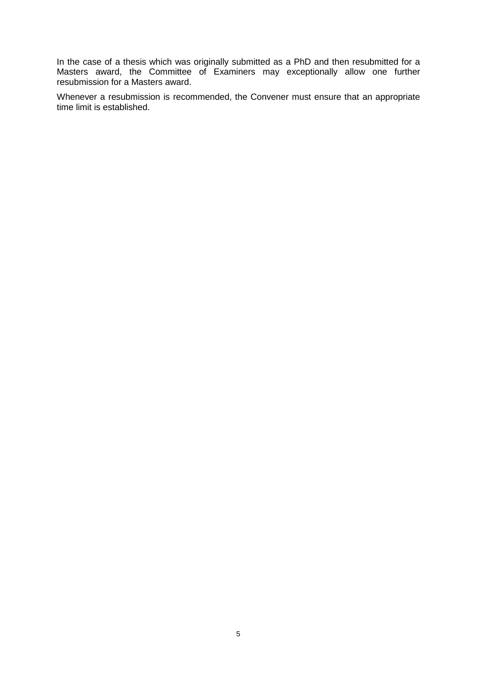In the case of a thesis which was originally submitted as a PhD and then resubmitted for a Masters award, the Committee of Examiners may exceptionally allow one further resubmission for a Masters award.

Whenever a resubmission is recommended, the Convener must ensure that an appropriate time limit is established.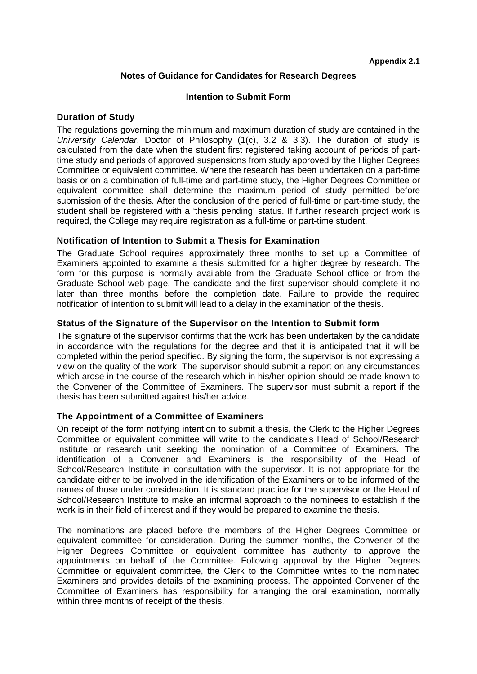# **Notes of Guidance for Candidates for Research Degrees**

# **Intention to Submit Form**

# **Duration of Study**

The regulations governing the minimum and maximum duration of study are contained in the *University Calendar*, Doctor of Philosophy (1(c), 3.2 & 3.3). The duration of study is calculated from the date when the student first registered taking account of periods of parttime study and periods of approved suspensions from study approved by the Higher Degrees Committee or equivalent committee. Where the research has been undertaken on a part-time basis or on a combination of full-time and part-time study, the Higher Degrees Committee or equivalent committee shall determine the maximum period of study permitted before submission of the thesis. After the conclusion of the period of full-time or part-time study, the student shall be registered with a 'thesis pending' status. If further research project work is required, the College may require registration as a full-time or part-time student.

# **Notification of Intention to Submit a Thesis for Examination**

The Graduate School requires approximately three months to set up a Committee of Examiners appointed to examine a thesis submitted for a higher degree by research. The form for this purpose is normally available from the Graduate School office or from the Graduate School web page. The candidate and the first supervisor should complete it no later than three months before the completion date. Failure to provide the required notification of intention to submit will lead to a delay in the examination of the thesis.

# **Status of the Signature of the Supervisor on the Intention to Submit form**

The signature of the supervisor confirms that the work has been undertaken by the candidate in accordance with the regulations for the degree and that it is anticipated that it will be completed within the period specified. By signing the form, the supervisor is not expressing a view on the quality of the work. The supervisor should submit a report on any circumstances which arose in the course of the research which in his/her opinion should be made known to the Convener of the Committee of Examiners. The supervisor must submit a report if the thesis has been submitted against his/her advice.

# **The Appointment of a Committee of Examiners**

On receipt of the form notifying intention to submit a thesis, the Clerk to the Higher Degrees Committee or equivalent committee will write to the candidate's Head of School/Research Institute or research unit seeking the nomination of a Committee of Examiners. The identification of a Convener and Examiners is the responsibility of the Head of School/Research Institute in consultation with the supervisor. It is not appropriate for the candidate either to be involved in the identification of the Examiners or to be informed of the names of those under consideration. It is standard practice for the supervisor or the Head of School/Research Institute to make an informal approach to the nominees to establish if the work is in their field of interest and if they would be prepared to examine the thesis.

The nominations are placed before the members of the Higher Degrees Committee or equivalent committee for consideration. During the summer months, the Convener of the Higher Degrees Committee or equivalent committee has authority to approve the appointments on behalf of the Committee. Following approval by the Higher Degrees Committee or equivalent committee, the Clerk to the Committee writes to the nominated Examiners and provides details of the examining process. The appointed Convener of the Committee of Examiners has responsibility for arranging the oral examination, normally within three months of receipt of the thesis.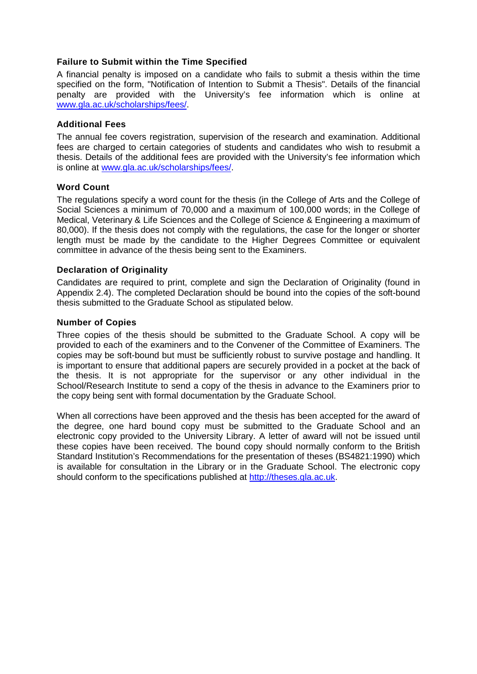# **Failure to Submit within the Time Specified**

A financial penalty is imposed on a candidate who fails to submit a thesis within the time specified on the form, "Notification of Intention to Submit a Thesis". Details of the financial penalty are provided with the University's fee information which is online at [www.gla.ac.uk/scholarships/fees/.](http://www.gla.ac.uk/scholarships/fees/)

# **Additional Fees**

The annual fee covers registration, supervision of the research and examination. Additional fees are charged to certain categories of students and candidates who wish to resubmit a thesis. Details of the additional fees are provided with the University's fee information which is online at [www.gla.ac.uk/scholarships/fees/.](http://www.gla.ac.uk/scholarships/fees/)

# **Word Count**

The regulations specify a word count for the thesis (in the College of Arts and the College of Social Sciences a minimum of 70,000 and a maximum of 100,000 words; in the College of Medical, Veterinary & Life Sciences and the College of Science & Engineering a maximum of 80,000). If the thesis does not comply with the regulations, the case for the longer or shorter length must be made by the candidate to the Higher Degrees Committee or equivalent committee in advance of the thesis being sent to the Examiners.

# **Declaration of Originality**

Candidates are required to print, complete and sign the Declaration of Originality (found in Appendix 2.4). The completed Declaration should be bound into the copies of the soft-bound thesis submitted to the Graduate School as stipulated below.

# **Number of Copies**

Three copies of the thesis should be submitted to the Graduate School. A copy will be provided to each of the examiners and to the Convener of the Committee of Examiners. The copies may be soft-bound but must be sufficiently robust to survive postage and handling. It is important to ensure that additional papers are securely provided in a pocket at the back of the thesis. It is not appropriate for the supervisor or any other individual in the School/Research Institute to send a copy of the thesis in advance to the Examiners prior to the copy being sent with formal documentation by the Graduate School.

When all corrections have been approved and the thesis has been accepted for the award of the degree, one hard bound copy must be submitted to the Graduate School and an electronic copy provided to the University Library. A letter of award will not be issued until these copies have been received. The bound copy should normally conform to the British Standard Institution's Recommendations for the presentation of theses (BS4821:1990) which is available for consultation in the Library or in the Graduate School. The electronic copy should conform to the specifications published at [http://theses.gla.ac.uk.](http://theses.gla.ac.uk/)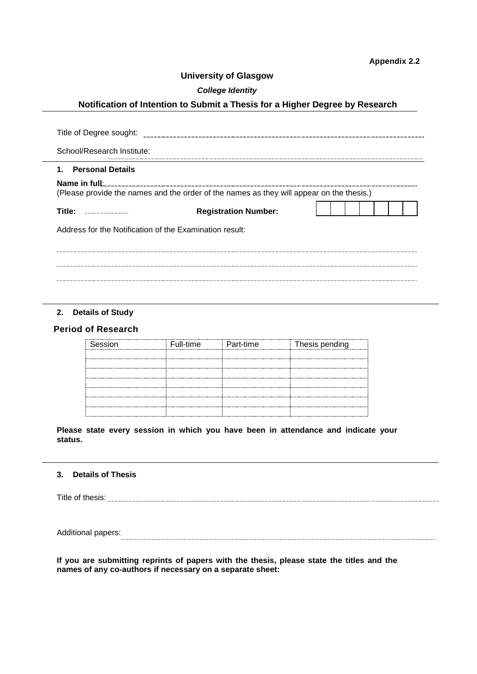# **University of Glasgow**

## *College Identity*

# **Notification of Intention to Submit a Thesis for a Higher Degree by Research**

| Title of Degree sought:                                                                  |
|------------------------------------------------------------------------------------------|
| School/Research Institute:                                                               |
| 1. Personal Details                                                                      |
|                                                                                          |
| (Please provide the names and the order of the names as they will appear on the thesis.) |
| Title:<br><b>Registration Number:</b><br>                                                |
| Address for the Notification of the Examination result:                                  |
|                                                                                          |
|                                                                                          |
|                                                                                          |
|                                                                                          |

## **2. Details of Study**

# **Period of Research**

| Session | Full-time Part-time | Thesis pending |
|---------|---------------------|----------------|
|         |                     |                |
|         |                     |                |
|         |                     |                |
|         |                     |                |
|         |                     |                |
|         |                     |                |
|         |                     |                |

**Please state every session in which you have been in attendance and indicate your status.**

#### **3. Details of Thesis**

Title of thesis:<br> $\blacksquare$ 

Additional papers: 

**If you are submitting reprints of papers with the thesis, please state the titles and the names of any co-authors if necessary on a separate sheet:**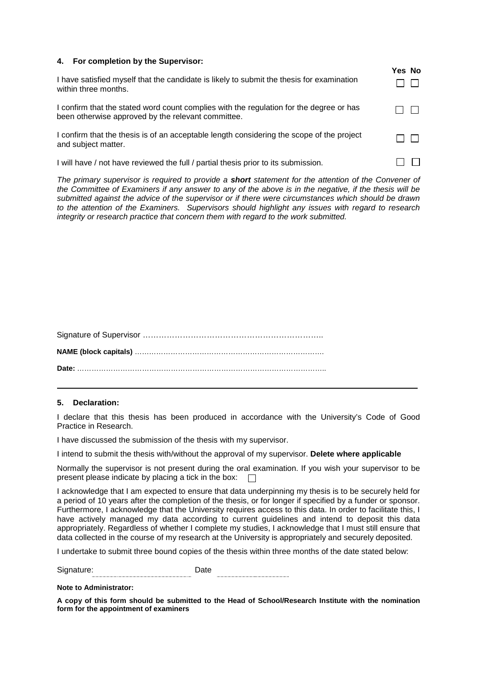| 4. For completion by the Supervisor:                                                                                                          |        |
|-----------------------------------------------------------------------------------------------------------------------------------------------|--------|
| I have satisfied myself that the candidate is likely to submit the thesis for examination<br>within three months.                             | Yes No |
| I confirm that the stated word count complies with the regulation for the degree or has<br>been otherwise approved by the relevant committee. |        |
| I confirm that the thesis is of an acceptable length considering the scope of the project<br>and subject matter.                              |        |
| I will have / not have reviewed the full / partial thesis prior to its submission.                                                            |        |

*The primary supervisor is required to provide a short statement for the attention of the Convener of the Committee of Examiners if any answer to any of the above is in the negative, if the thesis will be submitted against the advice of the supervisor or if there were circumstances which should be drawn to the attention of the Examiners. Supervisors should highlight any issues with regard to research integrity or research practice that concern them with regard to the work submitted.*

#### **5. Declaration:**

I declare that this thesis has been produced in accordance with the University's Code of Good Practice in Research.

I have discussed the submission of the thesis with my supervisor.

I intend to submit the thesis with/without the approval of my supervisor. **Delete where applicable**

Normally the supervisor is not present during the oral examination. If you wish your supervisor to be present please indicate by placing a tick in the box:  $\square$ 

I acknowledge that I am expected to ensure that data underpinning my thesis is to be securely held for a period of 10 years after the completion of the thesis, or for longer if specified by a funder or sponsor. Furthermore, I acknowledge that the University requires access to this data. In order to facilitate this, I have actively managed my data according to current guidelines and intend to deposit this data appropriately. Regardless of whether I complete my studies, I acknowledge that I must still ensure that data collected in the course of my research at the University is appropriately and securely deposited.

I undertake to submit three bound copies of the thesis within three months of the date stated below:

Signature: Date

#### **Note to Administrator:**

**A copy of this form should be submitted to the Head of School/Research Institute with the nomination form for the appointment of examiners**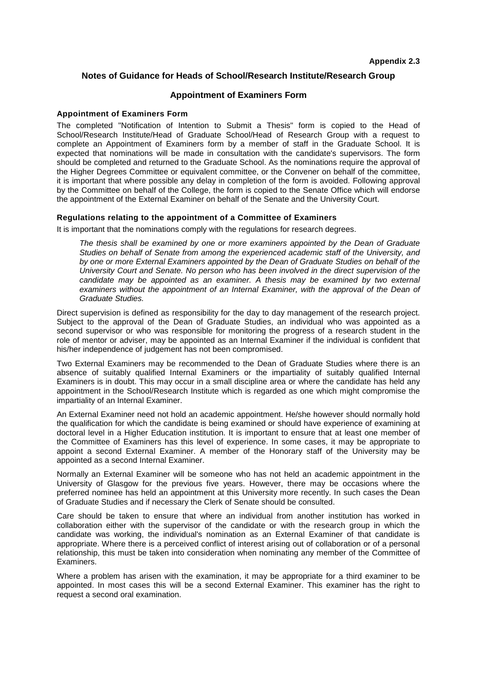## **Notes of Guidance for Heads of School/Research Institute/Research Group**

#### **Appointment of Examiners Form**

#### **Appointment of Examiners Form**

The completed "Notification of Intention to Submit a Thesis" form is copied to the Head of School/Research Institute/Head of Graduate School/Head of Research Group with a request to complete an Appointment of Examiners form by a member of staff in the Graduate School. It is expected that nominations will be made in consultation with the candidate's supervisors. The form should be completed and returned to the Graduate School. As the nominations require the approval of the Higher Degrees Committee or equivalent committee, or the Convener on behalf of the committee, it is important that where possible any delay in completion of the form is avoided. Following approval by the Committee on behalf of the College, the form is copied to the Senate Office which will endorse the appointment of the External Examiner on behalf of the Senate and the University Court.

#### **Regulations relating to the appointment of a Committee of Examiners**

It is important that the nominations comply with the regulations for research degrees.

*The thesis shall be examined by one or more examiners appointed by the Dean of Graduate Studies on behalf of Senate from among the experienced academic staff of the University, and by one or more External Examiners appointed by the Dean of Graduate Studies on behalf of the University Court and Senate. No person who has been involved in the direct supervision of the candidate may be appointed as an examiner. A thesis may be examined by two external* examiners without the appointment of an Internal Examiner, with the approval of the Dean of *Graduate Studies.*

Direct supervision is defined as responsibility for the day to day management of the research project. Subject to the approval of the Dean of Graduate Studies, an individual who was appointed as a second supervisor or who was responsible for monitoring the progress of a research student in the role of mentor or adviser, may be appointed as an Internal Examiner if the individual is confident that his/her independence of judgement has not been compromised.

Two External Examiners may be recommended to the Dean of Graduate Studies where there is an absence of suitably qualified Internal Examiners or the impartiality of suitably qualified Internal Examiners is in doubt. This may occur in a small discipline area or where the candidate has held any appointment in the School/Research Institute which is regarded as one which might compromise the impartiality of an Internal Examiner.

An External Examiner need not hold an academic appointment. He/she however should normally hold the qualification for which the candidate is being examined or should have experience of examining at doctoral level in a Higher Education institution. It is important to ensure that at least one member of the Committee of Examiners has this level of experience. In some cases, it may be appropriate to appoint a second External Examiner. A member of the Honorary staff of the University may be appointed as a second Internal Examiner.

Normally an External Examiner will be someone who has not held an academic appointment in the University of Glasgow for the previous five years. However, there may be occasions where the preferred nominee has held an appointment at this University more recently. In such cases the Dean of Graduate Studies and if necessary the Clerk of Senate should be consulted.

Care should be taken to ensure that where an individual from another institution has worked in collaboration either with the supervisor of the candidate or with the research group in which the candidate was working, the individual's nomination as an External Examiner of that candidate is appropriate. Where there is a perceived conflict of interest arising out of collaboration or of a personal relationship, this must be taken into consideration when nominating any member of the Committee of Examiners.

Where a problem has arisen with the examination, it may be appropriate for a third examiner to be appointed. In most cases this will be a second External Examiner. This examiner has the right to request a second oral examination.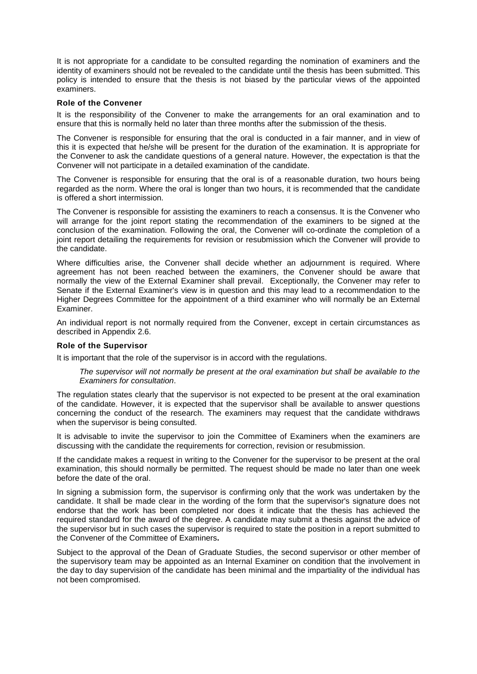It is not appropriate for a candidate to be consulted regarding the nomination of examiners and the identity of examiners should not be revealed to the candidate until the thesis has been submitted. This policy is intended to ensure that the thesis is not biased by the particular views of the appointed examiners.

#### **Role of the Convener**

It is the responsibility of the Convener to make the arrangements for an oral examination and to ensure that this is normally held no later than three months after the submission of the thesis.

The Convener is responsible for ensuring that the oral is conducted in a fair manner, and in view of this it is expected that he/she will be present for the duration of the examination. It is appropriate for the Convener to ask the candidate questions of a general nature. However, the expectation is that the Convener will not participate in a detailed examination of the candidate.

The Convener is responsible for ensuring that the oral is of a reasonable duration, two hours being regarded as the norm. Where the oral is longer than two hours, it is recommended that the candidate is offered a short intermission.

The Convener is responsible for assisting the examiners to reach a consensus. It is the Convener who will arrange for the joint report stating the recommendation of the examiners to be signed at the conclusion of the examination. Following the oral, the Convener will co-ordinate the completion of a joint report detailing the requirements for revision or resubmission which the Convener will provide to the candidate.

Where difficulties arise, the Convener shall decide whether an adjournment is required. Where agreement has not been reached between the examiners, the Convener should be aware that normally the view of the External Examiner shall prevail. Exceptionally, the Convener may refer to Senate if the External Examiner's view is in question and this may lead to a recommendation to the Higher Degrees Committee for the appointment of a third examiner who will normally be an External Examiner.

An individual report is not normally required from the Convener, except in certain circumstances as described in Appendix 2.6.

#### **Role of the Supervisor**

It is important that the role of the supervisor is in accord with the regulations.

*The supervisor will not normally be present at the oral examination but shall be available to the Examiners for consultation*.

The regulation states clearly that the supervisor is not expected to be present at the oral examination of the candidate. However, it is expected that the supervisor shall be available to answer questions concerning the conduct of the research. The examiners may request that the candidate withdraws when the supervisor is being consulted.

It is advisable to invite the supervisor to join the Committee of Examiners when the examiners are discussing with the candidate the requirements for correction, revision or resubmission.

If the candidate makes a request in writing to the Convener for the supervisor to be present at the oral examination, this should normally be permitted. The request should be made no later than one week before the date of the oral.

In signing a submission form, the supervisor is confirming only that the work was undertaken by the candidate. It shall be made clear in the wording of the form that the supervisor's signature does not endorse that the work has been completed nor does it indicate that the thesis has achieved the required standard for the award of the degree. A candidate may submit a thesis against the advice of the supervisor but in such cases the supervisor is required to state the position in a report submitted to the Convener of the Committee of Examiners**.**

Subject to the approval of the Dean of Graduate Studies, the second supervisor or other member of the supervisory team may be appointed as an Internal Examiner on condition that the involvement in the day to day supervision of the candidate has been minimal and the impartiality of the individual has not been compromised.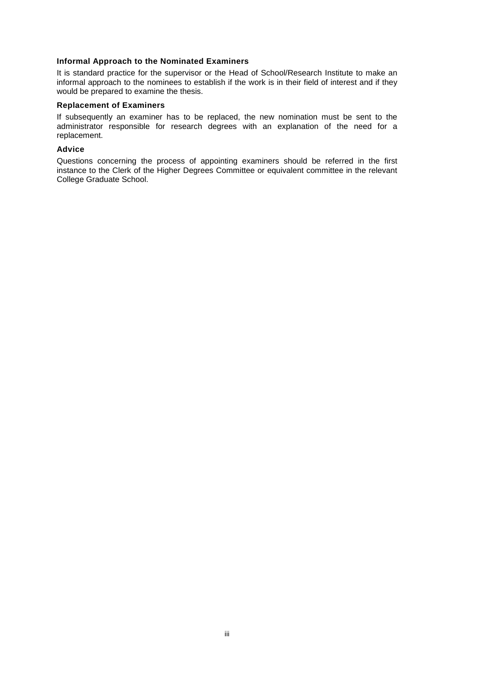## **Informal Approach to the Nominated Examiners**

It is standard practice for the supervisor or the Head of School/Research Institute to make an informal approach to the nominees to establish if the work is in their field of interest and if they would be prepared to examine the thesis.

#### **Replacement of Examiners**

If subsequently an examiner has to be replaced, the new nomination must be sent to the administrator responsible for research degrees with an explanation of the need for a replacement.

## **Advice**

Questions concerning the process of appointing examiners should be referred in the first instance to the Clerk of the Higher Degrees Committee or equivalent committee in the relevant College Graduate School.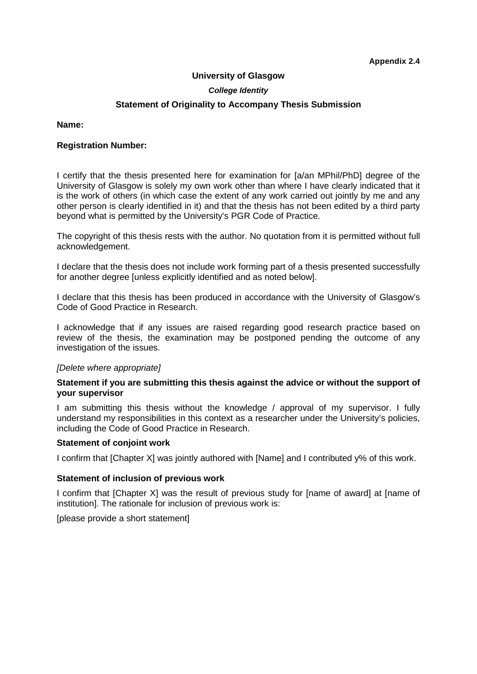## **University of Glasgow**

## *College Identity*

## **Statement of Originality to Accompany Thesis Submission**

## **Name:**

## **Registration Number:**

I certify that the thesis presented here for examination for [a/an MPhil/PhD] degree of the University of Glasgow is solely my own work other than where I have clearly indicated that it is the work of others (in which case the extent of any work carried out jointly by me and any other person is clearly identified in it) and that the thesis has not been edited by a third party beyond what is permitted by the University's PGR Code of Practice.

The copyright of this thesis rests with the author. No quotation from it is permitted without full acknowledgement.

I declare that the thesis does not include work forming part of a thesis presented successfully for another degree [unless explicitly identified and as noted below].

I declare that this thesis has been produced in accordance with the University of Glasgow's Code of Good Practice in Research.

I acknowledge that if any issues are raised regarding good research practice based on review of the thesis, the examination may be postponed pending the outcome of any investigation of the issues.

## *[Delete where appropriate]*

## **Statement if you are submitting this thesis against the advice or without the support of your supervisor**

I am submitting this thesis without the knowledge / approval of my supervisor. I fully understand my responsibilities in this context as a researcher under the University's policies, including the Code of Good Practice in Research.

#### **Statement of conjoint work**

I confirm that [Chapter X] was jointly authored with [Name] and I contributed y% of this work.

#### **Statement of inclusion of previous work**

I confirm that [Chapter X] was the result of previous study for [name of award] at [name of institution]. The rationale for inclusion of previous work is:

[please provide a short statement]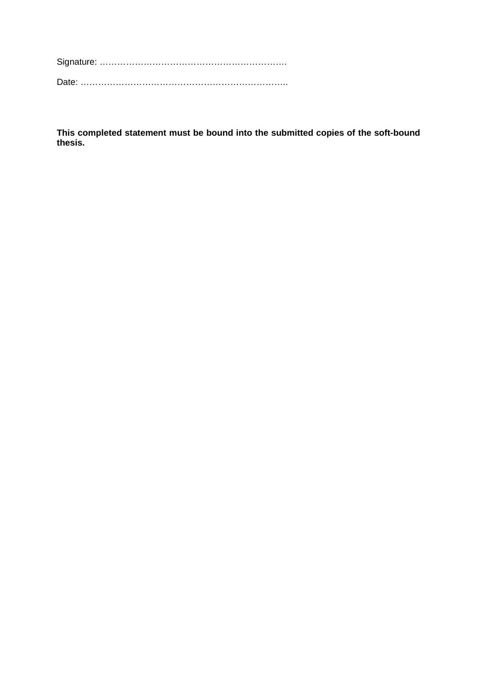Signature: ……………………………………………………….

Date: ……………………………………………………………..

**This completed statement must be bound into the submitted copies of the soft-bound thesis.**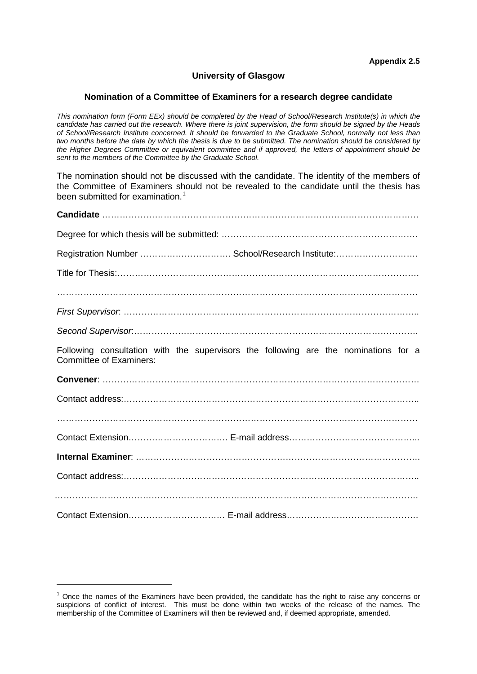# **University of Glasgow**

#### **Nomination of a Committee of Examiners for a research degree candidate**

*This nomination form (Form EEx) should be completed by the Head of School/Research Institute(s) in which the candidate has carried out the research. Where there is joint supervision, the form should be signed by the Heads of School/Research Institute concerned. It should be forwarded to the Graduate School, normally not less than two months before the date by which the thesis is due to be submitted. The nomination should be considered by the Higher Degrees Committee or equivalent committee and if approved, the letters of appointment should be sent to the members of the Committee by the Graduate School.*

The nomination should not be discussed with the candidate. The identity of the members of the Committee of Examiners should not be revealed to the candidate until the thesis has been submitted for examination.<sup>[1](#page-14-0)</sup>

| Registration Number  School/Research Institute:                                                                       |
|-----------------------------------------------------------------------------------------------------------------------|
|                                                                                                                       |
|                                                                                                                       |
|                                                                                                                       |
|                                                                                                                       |
| Following consultation with the supervisors the following are the nominations for a<br><b>Committee of Examiners:</b> |
|                                                                                                                       |
|                                                                                                                       |
|                                                                                                                       |
|                                                                                                                       |
|                                                                                                                       |
|                                                                                                                       |
|                                                                                                                       |
|                                                                                                                       |

-

<span id="page-14-0"></span> $<sup>1</sup>$  Once the names of the Examiners have been provided, the candidate has the right to raise any concerns or</sup> suspicions of conflict of interest. This must be done within two weeks of the release of the names. The membership of the Committee of Examiners will then be reviewed and, if deemed appropriate, amended.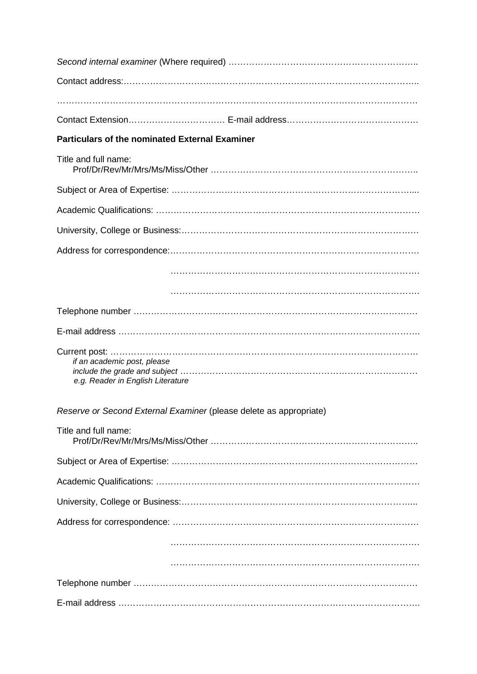| <b>Particulars of the nominated External Examiner</b>              |
|--------------------------------------------------------------------|
| Title and full name:                                               |
|                                                                    |
|                                                                    |
|                                                                    |
|                                                                    |
|                                                                    |
|                                                                    |
|                                                                    |
|                                                                    |
| if an academic post, please<br>e.g. Reader in English Literature   |
| Reserve or Second External Examiner (please delete as appropriate) |
| Title and full name:                                               |
|                                                                    |
|                                                                    |
|                                                                    |
|                                                                    |
|                                                                    |
|                                                                    |
|                                                                    |
|                                                                    |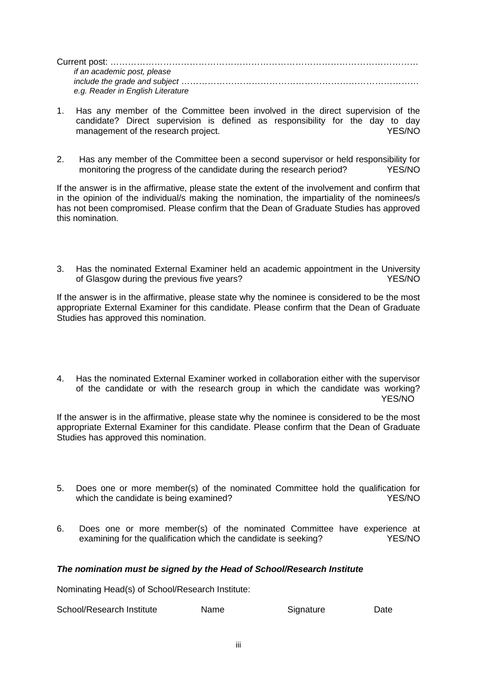| if an academic post, please       |  |
|-----------------------------------|--|
|                                   |  |
| e.g. Reader in English Literature |  |

- 1. Has any member of the Committee been involved in the direct supervision of the candidate? Direct supervision is defined as responsibility for the day to day management of the research project.
- 2. Has any member of the Committee been a second supervisor or held responsibility for monitoring the progress of the candidate during the research period? YES/NO

If the answer is in the affirmative, please state the extent of the involvement and confirm that in the opinion of the individual/s making the nomination, the impartiality of the nominees/s has not been compromised. Please confirm that the Dean of Graduate Studies has approved this nomination.

3. Has the nominated External Examiner held an academic appointment in the University of Glasgow during the previous five years? The state of Glasgow during the previous five years?

If the answer is in the affirmative, please state why the nominee is considered to be the most appropriate External Examiner for this candidate. Please confirm that the Dean of Graduate Studies has approved this nomination.

4. Has the nominated External Examiner worked in collaboration either with the supervisor of the candidate or with the research group in which the candidate was working? YES/NO

If the answer is in the affirmative, please state why the nominee is considered to be the most appropriate External Examiner for this candidate. Please confirm that the Dean of Graduate Studies has approved this nomination.

- 5. Does one or more member(s) of the nominated Committee hold the qualification for which the candidate is being examined?  $YES/NO$
- 6. Does one or more member(s) of the nominated Committee have experience at examining for the qualification which the candidate is seeking? YES/NO

# *The nomination must be signed by the Head of School/Research Institute*

Nominating Head(s) of School/Research Institute:

School/Research Institute Mame Signature Date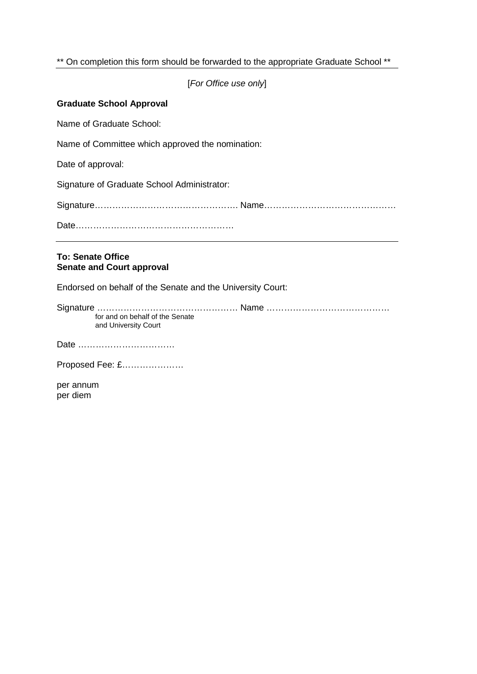# \*\* On completion this form should be forwarded to the appropriate Graduate School \*\*

[*For Office use only*]

# **Graduate School Approval**

Name of Graduate School:

Name of Committee which approved the nomination:

Date of approval:

Signature of Graduate School Administrator:

Signature…………………………………………. Name………………………………………

Date………………………………………………

# **To: Senate Office Senate and Court approval**

Endorsed on behalf of the Senate and the University Court:

Signature ………………………………………… Name …………………………………… for and on behalf of the Senate and University Court

Date ……………………………

Proposed Fee: £…………………

per annum per diem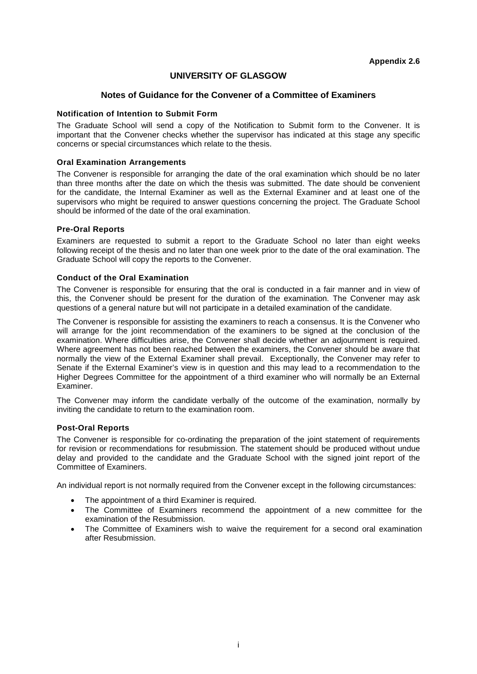# **UNIVERSITY OF GLASGOW**

## **Notes of Guidance for the Convener of a Committee of Examiners**

## **Notification of Intention to Submit Form**

The Graduate School will send a copy of the Notification to Submit form to the Convener. It is important that the Convener checks whether the supervisor has indicated at this stage any specific concerns or special circumstances which relate to the thesis.

## **Oral Examination Arrangements**

The Convener is responsible for arranging the date of the oral examination which should be no later than three months after the date on which the thesis was submitted. The date should be convenient for the candidate, the Internal Examiner as well as the External Examiner and at least one of the supervisors who might be required to answer questions concerning the project. The Graduate School should be informed of the date of the oral examination.

## **Pre-Oral Reports**

Examiners are requested to submit a report to the Graduate School no later than eight weeks following receipt of the thesis and no later than one week prior to the date of the oral examination. The Graduate School will copy the reports to the Convener.

## **Conduct of the Oral Examination**

The Convener is responsible for ensuring that the oral is conducted in a fair manner and in view of this, the Convener should be present for the duration of the examination. The Convener may ask questions of a general nature but will not participate in a detailed examination of the candidate.

The Convener is responsible for assisting the examiners to reach a consensus. It is the Convener who will arrange for the joint recommendation of the examiners to be signed at the conclusion of the examination. Where difficulties arise, the Convener shall decide whether an adjournment is required. Where agreement has not been reached between the examiners, the Convener should be aware that normally the view of the External Examiner shall prevail. Exceptionally, the Convener may refer to Senate if the External Examiner's view is in question and this may lead to a recommendation to the Higher Degrees Committee for the appointment of a third examiner who will normally be an External Examiner.

The Convener may inform the candidate verbally of the outcome of the examination, normally by inviting the candidate to return to the examination room.

## **Post-Oral Reports**

The Convener is responsible for co-ordinating the preparation of the joint statement of requirements for revision or recommendations for resubmission. The statement should be produced without undue delay and provided to the candidate and the Graduate School with the signed joint report of the Committee of Examiners.

An individual report is not normally required from the Convener except in the following circumstances:

- The appointment of a third Examiner is required.
- The Committee of Examiners recommend the appointment of a new committee for the examination of the Resubmission.
- The Committee of Examiners wish to waive the requirement for a second oral examination after Resubmission.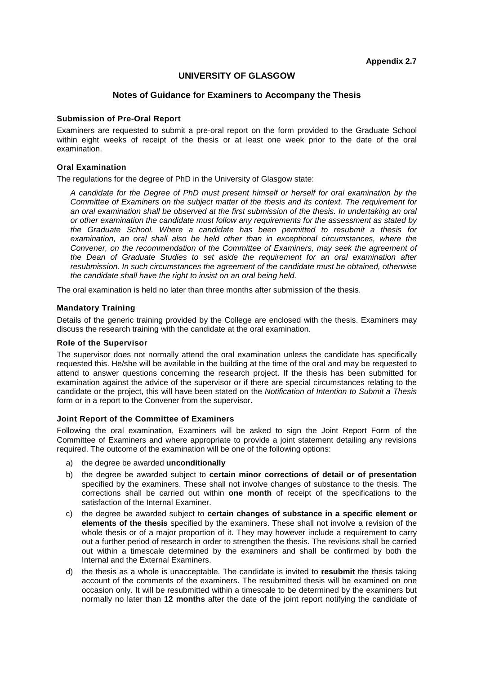# **UNIVERSITY OF GLASGOW**

## **Notes of Guidance for Examiners to Accompany the Thesis**

#### **Submission of Pre-Oral Report**

Examiners are requested to submit a pre-oral report on the form provided to the Graduate School within eight weeks of receipt of the thesis or at least one week prior to the date of the oral examination.

#### **Oral Examination**

The regulations for the degree of PhD in the University of Glasgow state:

*A candidate for the Degree of PhD must present himself or herself for oral examination by the Committee of Examiners on the subject matter of the thesis and its context. The requirement for an oral examination shall be observed at the first submission of the thesis. In undertaking an oral or other examination the candidate must follow any requirements for the assessment as stated by the Graduate School. Where a candidate has been permitted to resubmit a thesis for examination, an oral shall also be held other than in exceptional circumstances, where the Convener, on the recommendation of the Committee of Examiners, may seek the agreement of the Dean of Graduate Studies to set aside the requirement for an oral examination after resubmission. In such circumstances the agreement of the candidate must be obtained, otherwise the candidate shall have the right to insist on an oral being held.*

The oral examination is held no later than three months after submission of the thesis.

#### **Mandatory Training**

Details of the generic training provided by the College are enclosed with the thesis. Examiners may discuss the research training with the candidate at the oral examination.

#### **Role of the Supervisor**

The supervisor does not normally attend the oral examination unless the candidate has specifically requested this. He/she will be available in the building at the time of the oral and may be requested to attend to answer questions concerning the research project. If the thesis has been submitted for examination against the advice of the supervisor or if there are special circumstances relating to the candidate or the project, this will have been stated on the *Notification of Intention to Submit a Thesis*  form or in a report to the Convener from the supervisor.

#### **Joint Report of the Committee of Examiners**

Following the oral examination, Examiners will be asked to sign the Joint Report Form of the Committee of Examiners and where appropriate to provide a joint statement detailing any revisions required. The outcome of the examination will be one of the following options:

- a) the degree be awarded **unconditionally**
- b) the degree be awarded subject to **certain minor corrections of detail or of presentation**  specified by the examiners. These shall not involve changes of substance to the thesis. The corrections shall be carried out within **one month** of receipt of the specifications to the satisfaction of the Internal Examiner.
- c) the degree be awarded subject to **certain changes of substance in a specific element or elements of the thesis** specified by the examiners. These shall not involve a revision of the whole thesis or of a major proportion of it. They may however include a requirement to carry out a further period of research in order to strengthen the thesis. The revisions shall be carried out within a timescale determined by the examiners and shall be confirmed by both the Internal and the External Examiners.
- d) the thesis as a whole is unacceptable. The candidate is invited to **resubmit** the thesis taking account of the comments of the examiners. The resubmitted thesis will be examined on one occasion only. It will be resubmitted within a timescale to be determined by the examiners but normally no later than **12 months** after the date of the joint report notifying the candidate of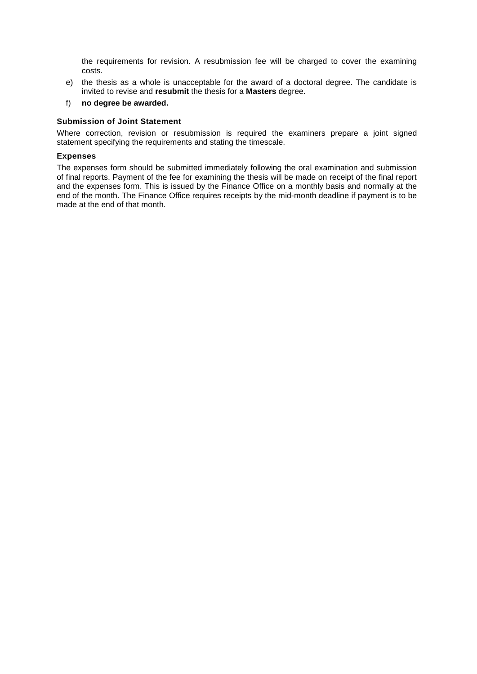the requirements for revision. A resubmission fee will be charged to cover the examining costs.

e) the thesis as a whole is unacceptable for the award of a doctoral degree. The candidate is invited to revise and **resubmit** the thesis for a **Masters** degree.

## f) **no degree be awarded.**

#### **Submission of Joint Statement**

Where correction, revision or resubmission is required the examiners prepare a joint signed statement specifying the requirements and stating the timescale.

## **Expenses**

The expenses form should be submitted immediately following the oral examination and submission of final reports. Payment of the fee for examining the thesis will be made on receipt of the final report and the expenses form. This is issued by the Finance Office on a monthly basis and normally at the end of the month. The Finance Office requires receipts by the mid-month deadline if payment is to be made at the end of that month.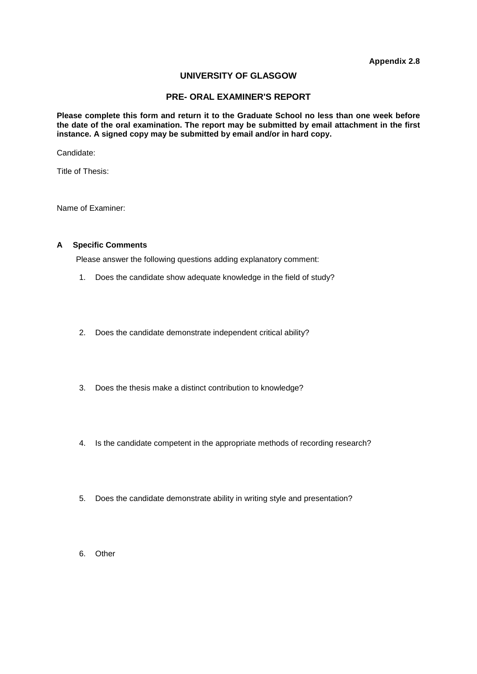# **UNIVERSITY OF GLASGOW**

## **PRE- ORAL EXAMINER'S REPORT**

**Please complete this form and return it to the Graduate School no less than one week before the date of the oral examination. The report may be submitted by email attachment in the first instance. A signed copy may be submitted by email and/or in hard copy.**

Candidate:

Title of Thesis:

Name of Examiner:

## **A Specific Comments**

Please answer the following questions adding explanatory comment:

- 1. Does the candidate show adequate knowledge in the field of study?
- 2. Does the candidate demonstrate independent critical ability?
- 3. Does the thesis make a distinct contribution to knowledge?
- 4. Is the candidate competent in the appropriate methods of recording research?
- 5. Does the candidate demonstrate ability in writing style and presentation?
- 6. Other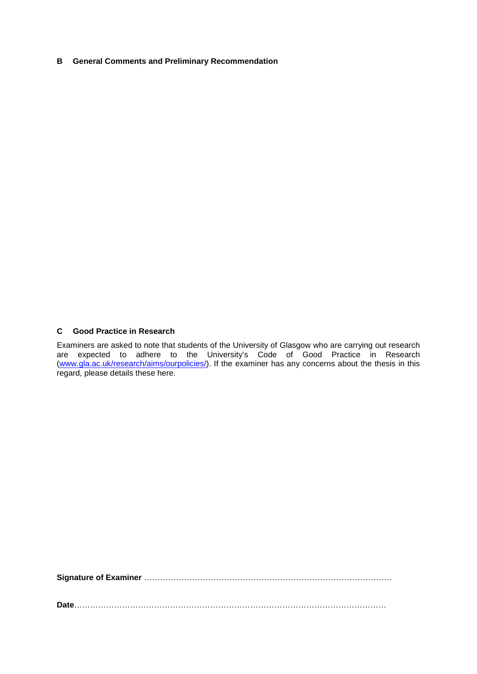## **B General Comments and Preliminary Recommendation**

# **C Good Practice in Research**

Examiners are asked to note that students of the University of Glasgow who are carrying out research are expected to adhere to the University's Code of Good Practice in Research [\(www.gla.ac.uk/research/aims/ourpolicies/\)](http://www.gla.ac.uk/research/aims/ourpolicies/). If the examiner has any concerns about the thesis in this regard, please details these here.

**Signature of Examiner** …………………………………………………………………………………

**Date**………………………………………………………………………………………………………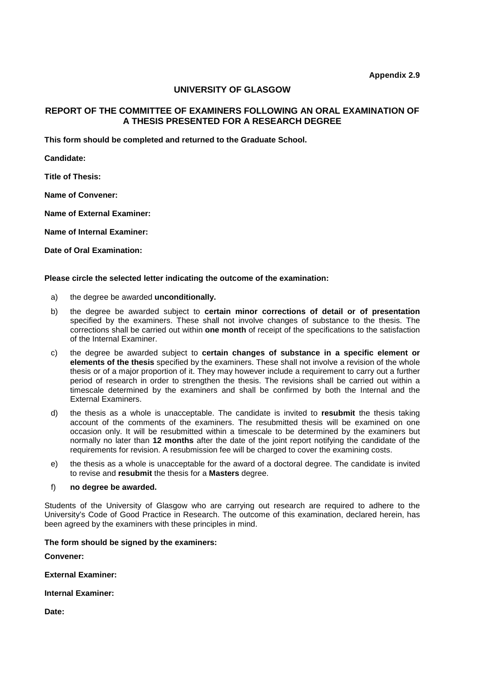## **UNIVERSITY OF GLASGOW**

# **REPORT OF THE COMMITTEE OF EXAMINERS FOLLOWING AN ORAL EXAMINATION OF A THESIS PRESENTED FOR A RESEARCH DEGREE**

**This form should be completed and returned to the Graduate School.**

**Candidate:**

**Title of Thesis:**

**Name of Convener:**

**Name of External Examiner:**

**Name of Internal Examiner:**

**Date of Oral Examination:**

#### **Please circle the selected letter indicating the outcome of the examination:**

- a) the degree be awarded **unconditionally.**
- b) the degree be awarded subject to **certain minor corrections of detail or of presentation**  specified by the examiners. These shall not involve changes of substance to the thesis. The corrections shall be carried out within **one month** of receipt of the specifications to the satisfaction of the Internal Examiner.
- c) the degree be awarded subject to **certain changes of substance in a specific element or elements of the thesis** specified by the examiners. These shall not involve a revision of the whole thesis or of a major proportion of it. They may however include a requirement to carry out a further period of research in order to strengthen the thesis. The revisions shall be carried out within a timescale determined by the examiners and shall be confirmed by both the Internal and the External Examiners.
- d) the thesis as a whole is unacceptable. The candidate is invited to **resubmit** the thesis taking account of the comments of the examiners. The resubmitted thesis will be examined on one occasion only. It will be resubmitted within a timescale to be determined by the examiners but normally no later than **12 months** after the date of the joint report notifying the candidate of the requirements for revision. A resubmission fee will be charged to cover the examining costs.
- e) the thesis as a whole is unacceptable for the award of a doctoral degree. The candidate is invited to revise and **resubmit** the thesis for a **Masters** degree.

#### f) **no degree be awarded.**

Students of the University of Glasgow who are carrying out research are required to adhere to the University's Code of Good Practice in Research. The outcome of this examination, declared herein, has been agreed by the examiners with these principles in mind.

#### **The form should be signed by the examiners:**

**Convener:**

**External Examiner:**

**Internal Examiner:**

**Date:**